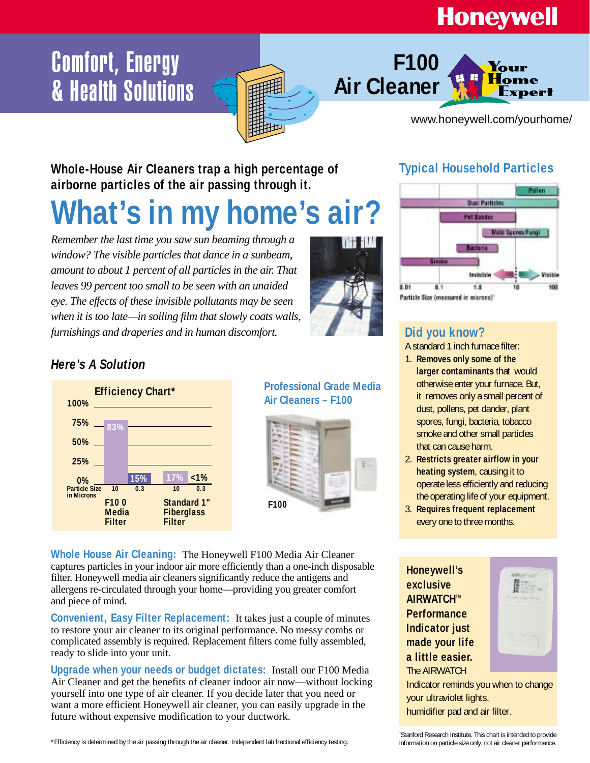## **Honeywell**

## **Comfort, Energy & Health Solutions**



www.honeywell.com/yourhome/

ert

**Whole-House Air Cleaners trap a high percentage of**  airborne particles of the air passing through it.

# **What's in my home's air?**

*Remember the last time you saw sun beaming through a window? The visible particles that dance in a sunbeam, amount to about 1 percent of all particles in the air. That leaves 99 percent too small to be seen with an unaided eye. The effects of these invisible pollutants may be seen when it is too late—in soiling film that slowly coats walls, furnishings and draperies and in human discomfort.*



### **Typical Household Particles**

**F100** 

**Air Cleaner**



### *Here's A Solution*



**Professional Grade Media**



**Whole House Air Cleaning:** The Honeywell F100 Media Air Cleaner captures particles in your indoor air more efficiently than a one-inch disposable filter. Honeywell media air cleaners significantly reduce the antigens and allergens re-circulated through your home—providing you greater comfort and piece of mind.

**Convenient, Easy Filter Replacement:** It takes just a couple of minutes to restore your air cleaner to its original performance. No messy combs or complicated assembly is required. Replacement filters come fully assembled, ready to slide into your unit.

**Upgrade when your needs or budget dictates:** Install our F100 Media Air Cleaner and get the benefits of cleaner indoor air now—without locking yourself into one type of air cleaner. If you decide later that you need or want a more efficient Honeywell air cleaner, you can easily upgrade in the future without expensive modification to your ductwork.

### **Did you know?**

A standard 1 inch furnace filter:

- 1. **Removes only some of the larger contaminants** that would otherwise enter your furnace. But, it removes only a small percent of dust, pollens, pet dander, plant spores, fungi, bacteria, tobacco smoke and other small particles that can cause harm.
- 2. **Restricts greater airflow in your heating system**, causing it to operate less efficiently and reducing the operating life of your equipment.
- 3. **Requires frequent replacement** every one to three months.

**Honeywell's exclusive AIRWATCH™ Performance Indicator just made your life a little easier.**  The AIRWATCH



Indicator reminds you when to change your ultraviolet lights, humidifier pad and air filter.

† Stanford Research Institute. This chart is intended to provide information on particle size only, not air cleaner performance.